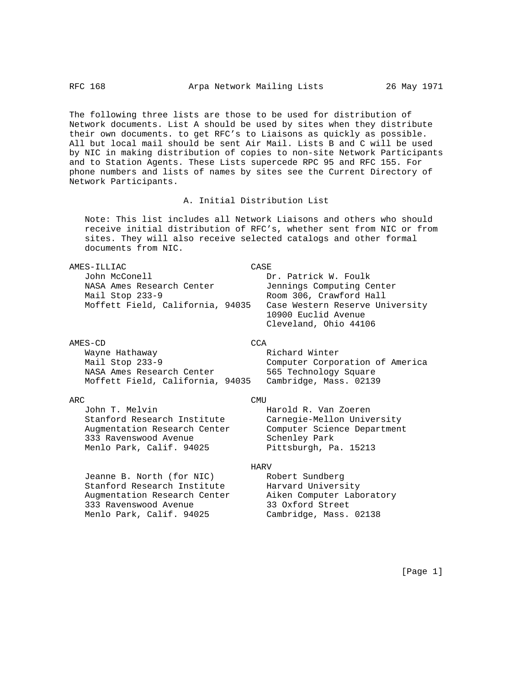The following three lists are those to be used for distribution of Network documents. List A should be used by sites when they distribute their own documents. to get RFC's to Liaisons as quickly as possible. All but local mail should be sent Air Mail. Lists B and C will be used by NIC in making distribution of copies to non-site Network Participants and to Station Agents. These Lists supercede RPC 95 and RFC 155. For phone numbers and lists of names by sites see the Current Directory of Network Participants.

### A. Initial Distribution List

 Note: This list includes all Network Liaisons and others who should receive initial distribution of RFC's, whether sent from NIC or from sites. They will also receive selected catalogs and other formal documents from NIC.

| AMES-ILLIAC                      | CASE                            |
|----------------------------------|---------------------------------|
| John McConell                    | Dr. Patrick W. Foulk            |
| NASA Ames Research Center        | Jennings Computing Center       |
| Mail Stop 233-9                  | Room 306, Crawford Hall         |
| Moffett Field, California, 94035 | Case Western Reserve University |
|                                  | 10900 Euclid Avenue             |
|                                  | Cleveland, Ohio 44106           |
|                                  |                                 |

| AMES-CD                          | CCA                             |
|----------------------------------|---------------------------------|
| Wayne Hathaway                   | Richard Winter                  |
| Mail Stop 233-9                  | Computer Corporation of America |
| NASA Ames Research Center        | 565 Technology Square           |
| Moffett Field, California, 94035 | Cambridge, Mass. 02139          |

| Richard Winter                  |  |  |  |  |
|---------------------------------|--|--|--|--|
| Computer Corporation of America |  |  |  |  |
| 565 Technology Square           |  |  |  |  |
| Cambridge, Mass. 02139          |  |  |  |  |

John T. Melvin Harold R. Van Zoeren Stanford Research Institute Carnegie-Mellon University Augmentation Research Center Computer Science Department 333 Ravenswood Avenue Schenley Park Menlo Park, Calif. 94025 Pittsburgh, Pa. 15213

# ARC CMU

## **HARV**

Jeanne B. North (for NIC) Robert Sundberg Stanford Research Institute Harvard University Augmentation Research Center Aiken Computer Laboratory 333 Ravenswood Avenue 33 Oxford Street Menlo Park, Calif. 94025 Cambridge, Mass. 02138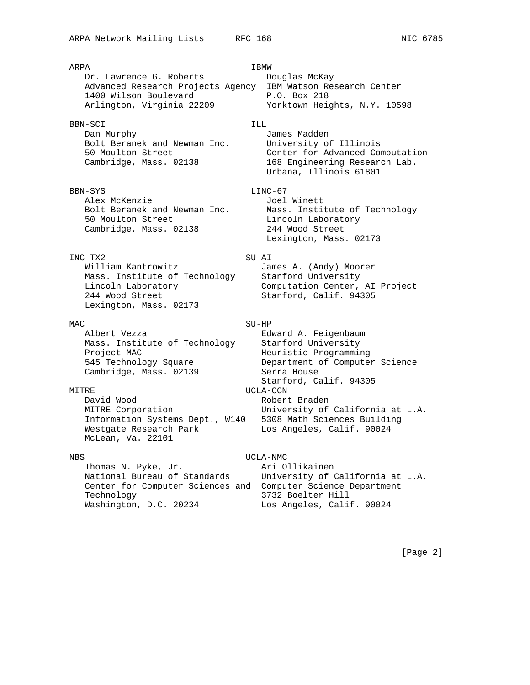ARPA **IBMW** Dr. Lawrence G. Roberts Douglas McKay Advanced Research Projects Agency IBM Watson Research Center 1400 Wilson Boulevard P.O. Box 218 Arlington, Virginia 22209 Yorktown Heights, N.Y. 10598 BBN-SCI ILL Dan Murphy James Madden Bolt Beranek and Newman Inc. University of Illinois 50 Moulton Street Center for Advanced Computation Cambridge, Mass. 02138 168 Engineering Research Lab. Urbana, Illinois 61801 BBN-SYS LINC-67 Alex McKenzie and Goel Winett Bolt Beranek and Newman Inc. Mass. Institute of Technology 50 Moulton Street and Lincoln Laboratory Cambridge, Mass. 02138 244 Wood Street Lexington, Mass. 02173 INC-TX2 SU-AI William Kantrowitz **James A.** (Andy) Moorer Mass. Institute of Technology Stanford University Lincoln Laboratory Computation Center, AI Project 244 Wood Street Stanford, Calif. 94305 Lexington, Mass. 02173 MAC SU-HP Albert Vezza and a Edward A. Feigenbaum Mass. Institute of Technology Stanford University Project MAC and the Meuristic Programming 545 Technology Square Department of Computer Science Cambridge, Mass. 02139 Serra House Stanford, Calif. 94305 MITRE UCLA-CCN David Wood **Robert Braden**  MITRE Corporation University of California at L.A. Information Systems Dept., W140 5308 Math Sciences Building Westgate Research Park Los Angeles, Calif. 90024 McLean, Va. 22101

## NBS UCLA-NMC

Thomas N. Pyke, Jr. Ari Ollikainen Center for Computer Sciences and Computer Science Department Technology 3732 Boelter Hill Washington, D.C. 20234 Los Angeles, Calif. 90024

National Bureau of Standards University of California at L.A.

[Page 2]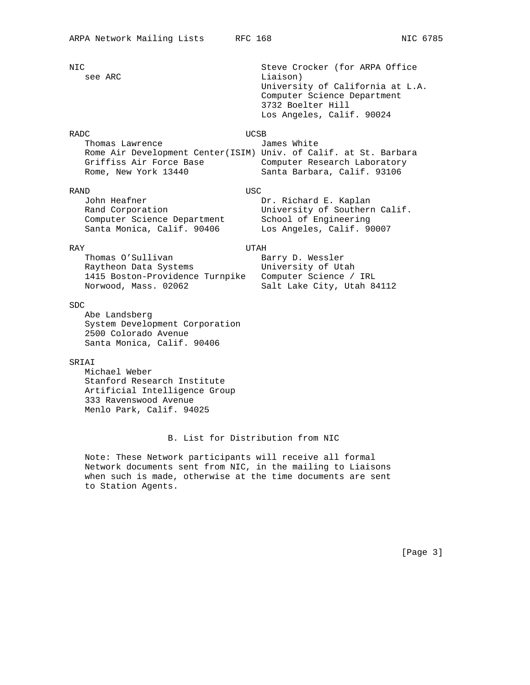NIC Steve Crocker (for ARPA Office see ARC Liaison) University of California at L.A. Computer Science Department 3732 Boelter Hill Los Angeles, Calif. 90024 RADC UCSB Thomas Lawrence **Interest Contains Tames** White Rome Air Development Center(ISIM) Univ. of Calif. at St. Barbara Griffiss Air Force Base **Computer Research Laboratory**  Rome, New York 13440 Santa Barbara, Calif. 93106 RAND USC John Heafner **Dr. Richard E. Kaplan**  Rand Corporation University of Southern Calif. Computer Science Department School of Engineering Santa Monica, Calif. 90406 Los Angeles, Calif. 90007 RAY UTAH Thomas O'Sullivan Barry D. Wessler Raytheon Data Systems **University** of Utah 1415 Boston-Providence Turnpike Computer Science / IRL Norwood, Mass. 02062 Salt Lake City, Utah 84112 SDC

 Abe Landsberg System Development Corporation 2500 Colorado Avenue Santa Monica, Calif. 90406

## SRIAI

 Michael Weber Stanford Research Institute Artificial Intelligence Group 333 Ravenswood Avenue Menlo Park, Calif. 94025

## B. List for Distribution from NIC

 Note: These Network participants will receive all formal Network documents sent from NIC, in the mailing to Liaisons when such is made, otherwise at the time documents are sent to Station Agents.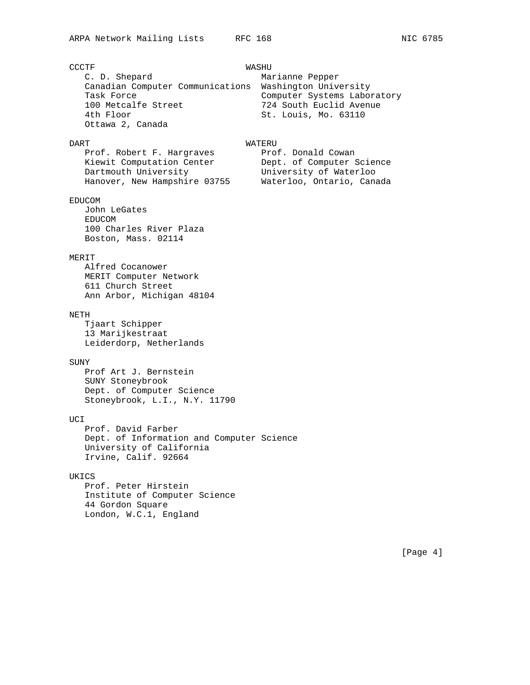| <b>CCCTF</b>                              | WASHU                       |  |
|-------------------------------------------|-----------------------------|--|
| C. D. Shepard                             | Marianne Pepper             |  |
| Canadian Computer Communications          | Washington University       |  |
| Task Force                                | Computer Systems Laboratory |  |
| 100 Metcalfe Street                       | 724 South Euclid Avenue     |  |
| 4th Floor                                 | St. Louis, Mo. 63110        |  |
| Ottawa 2, Canada                          |                             |  |
|                                           |                             |  |
| DART                                      | WATERU                      |  |
| Prof. Robert F. Hargraves                 | Prof. Donald Cowan          |  |
| Kiewit Computation Center                 | Dept. of Computer Science   |  |
| Dartmouth University                      | University of Waterloo      |  |
| Hanover, New Hampshire 03755              | Waterloo, Ontario, Canada   |  |
|                                           |                             |  |
| <b>EDUCOM</b>                             |                             |  |
| John LeGates<br><b>EDUCOM</b>             |                             |  |
| 100 Charles River Plaza                   |                             |  |
| Boston, Mass. 02114                       |                             |  |
|                                           |                             |  |
| MERIT                                     |                             |  |
| Alfred Cocanower                          |                             |  |
| MERIT Computer Network                    |                             |  |
| 611 Church Street                         |                             |  |
| Ann Arbor, Michigan 48104                 |                             |  |
|                                           |                             |  |
| NETH                                      |                             |  |
| Tjaart Schipper                           |                             |  |
| 13 Marijkestraat                          |                             |  |
| Leiderdorp, Netherlands                   |                             |  |
|                                           |                             |  |
| SUNY                                      |                             |  |
| Prof Art J. Bernstein                     |                             |  |
| SUNY Stoneybrook                          |                             |  |
| Dept. of Computer Science                 |                             |  |
| Stoneybrook, L.I., N.Y. 11790             |                             |  |
|                                           |                             |  |
| UCI                                       |                             |  |
| Prof. David Farber                        |                             |  |
| Dept. of Information and Computer Science |                             |  |
| University of California                  |                             |  |
| Irvine, Calif. 92664                      |                             |  |
| UKICS                                     |                             |  |
| Prof. Peter Hirstein                      |                             |  |
| Institute of Computer Science             |                             |  |
| 44 Gordon Square                          |                             |  |
| London, W.C.1, England                    |                             |  |
|                                           |                             |  |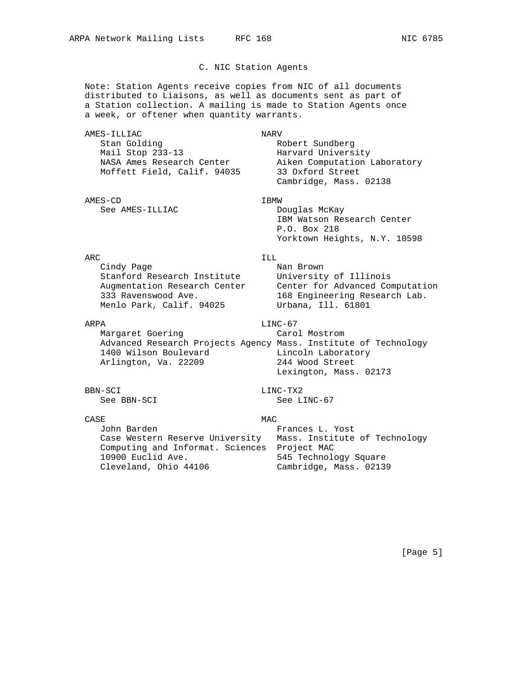# C. NIC Station Agents

 Note: Station Agents receive copies from NIC of all documents distributed to Liaisons, as well as documents sent as part of a Station collection. A mailing is made to Station Agents once a week, or oftener when quantity warrants.

AMES-ILLIAC NARV Stan Golding The Robert Sundberg Mail Stop 233-13 Harvard University NASA Ames Research Center Aiken Computation Laboratory Moffett Field, Calif. 94035 33 Oxford Street Cambridge, Mass. 02138 AMES-CD IBMW See AMES-ILLIAC Douglas McKay P.O. Box 218 ARC ILL SERVICE SERVICE SERVICE SERVICE SERVICE SERVICE SERVICE SERVICE SERVICE SERVICE SERVICE SERVICE SERVICE Cindy Page Nan Brown Stanford Research Institute University of Illinois Augmentation Research Center Center for Advanced Computation 333 Ravenswood Ave. 168 Engineering Research Lab. Menlo Park, Calif. 94025 Urbana, Ill. 61801 ARPA LINC-67 Margaret Goering The Carol Mostrom Advanced Research Projects Agency Mass. Institute of Technology 1400 Wilson Boulevard Lincoln Laboratory Arlington, Va. 22209 244 Wood Street Lexington, Mass. 02173 BBN-SCI LINC-TX2 See BBN-SCI See LINC-67 CASE MAC John Barden **Frances L. Yost**  Case Western Reserve University Mass. Institute of Technology Computing and Informat. Sciences Project MAC

Cleveland, Ohio 44106 Cambridge, Mass. 02139

## [Page 5]

10900 Euclid Ave. 545 Technology Square

 IBM Watson Research Center Yorktown Heights, N.Y. 10598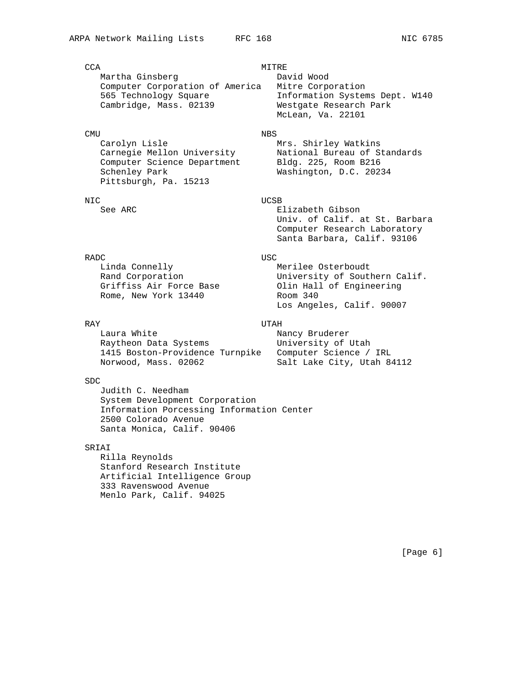CCA MITRE Martha Ginsberg Computer Corporation of America Mitre Corporation 565 Technology Square Information Systems Dept. W140 Cambridge, Mass. 02139 Westgate Research Park

### CMU NBS

Carolyn Lisle Mrs. Shirley Watkins Computer Science Department Bldg. 225, Room B216 Schenley Park Washington, D.C. 20234 Pittsburgh, Pa. 15213

### NIC UCSB

# RADC USC

Linda Connelly **Merilee** Osterboudt Rome, New York 13440

### RAY UTAH

Laura White  $\blacksquare$  Nancy Bruderer Raytheon Data Systems **University** of Utah 1415 Boston-Providence Turnpike Computer Science / IRL Norwood, Mass. 02062 Salt Lake City, Utah 84112

## SDC

 Judith C. Needham System Development Corporation Information Porcessing Information Center 2500 Colorado Avenue Santa Monica, Calif. 90406

## SRIAI

 Rilla Reynolds Stanford Research Institute Artificial Intelligence Group 333 Ravenswood Avenue Menlo Park, Calif. 94025

McLean, Va. 22101

Carnegie Mellon University National Bureau of Standards

See ARC **Elizabeth Gibson**  Univ. of Calif. at St. Barbara Computer Research Laboratory Santa Barbara, Calif. 93106

University of Southern Calif. Rand Corporation<br>Griffiss Air Force Base Olin Hall of Engineering<br>Rome, New York 13440 Room 340 Los Angeles, Calif. 90007

# [Page 6]